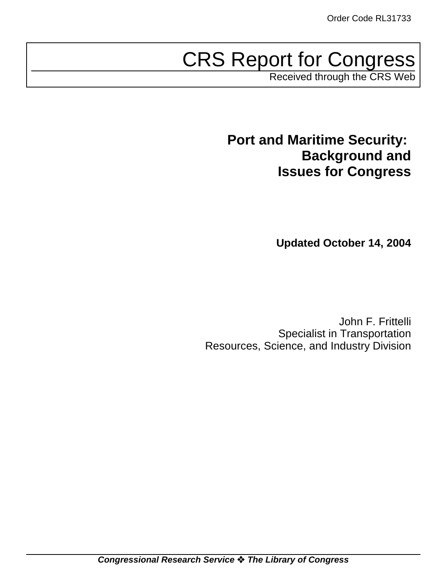# CRS Report for Congress

Received through the CRS Web

**Port and Maritime Security: Background and Issues for Congress**

**Updated October 14, 2004**

John F. Frittelli Specialist in Transportation Resources, Science, and Industry Division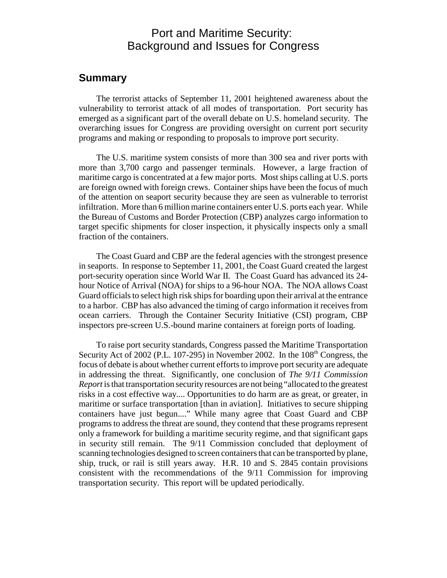# Port and Maritime Security: Background and Issues for Congress

### **Summary**

The terrorist attacks of September 11, 2001 heightened awareness about the vulnerability to terrorist attack of all modes of transportation. Port security has emerged as a significant part of the overall debate on U.S. homeland security. The overarching issues for Congress are providing oversight on current port security programs and making or responding to proposals to improve port security.

The U.S. maritime system consists of more than 300 sea and river ports with more than 3,700 cargo and passenger terminals. However, a large fraction of maritime cargo is concentrated at a few major ports. Most ships calling at U.S. ports are foreign owned with foreign crews. Container ships have been the focus of much of the attention on seaport security because they are seen as vulnerable to terrorist infiltration. More than 6 million marine containers enter U.S. ports each year. While the Bureau of Customs and Border Protection (CBP) analyzes cargo information to target specific shipments for closer inspection, it physically inspects only a small fraction of the containers.

The Coast Guard and CBP are the federal agencies with the strongest presence in seaports. In response to September 11, 2001, the Coast Guard created the largest port-security operation since World War II. The Coast Guard has advanced its 24 hour Notice of Arrival (NOA) for ships to a 96-hour NOA. The NOA allows Coast Guard officials to select high risk ships for boarding upon their arrival at the entrance to a harbor. CBP has also advanced the timing of cargo information it receives from ocean carriers. Through the Container Security Initiative (CSI) program, CBP inspectors pre-screen U.S.-bound marine containers at foreign ports of loading.

To raise port security standards, Congress passed the Maritime Transportation Security Act of 2002 (P.L. 107-295) in November 2002. In the  $108<sup>th</sup>$  Congress, the focus of debate is about whether current efforts to improve port security are adequate in addressing the threat. Significantly, one conclusion of *The 9/11 Commission Report* is that transportation security resources are not being "allocated to the greatest risks in a cost effective way.... Opportunities to do harm are as great, or greater, in maritime or surface transportation [than in aviation]. Initiatives to secure shipping containers have just begun...." While many agree that Coast Guard and CBP programs to address the threat are sound, they contend that these programs represent only a framework for building a maritime security regime, and that significant gaps in security still remain. The 9/11 Commission concluded that deployment of scanning technologies designed to screen containers that can be transported by plane, ship, truck, or rail is still years away. H.R. 10 and S. 2845 contain provisions consistent with the recommendations of the 9/11 Commission for improving transportation security. This report will be updated periodically.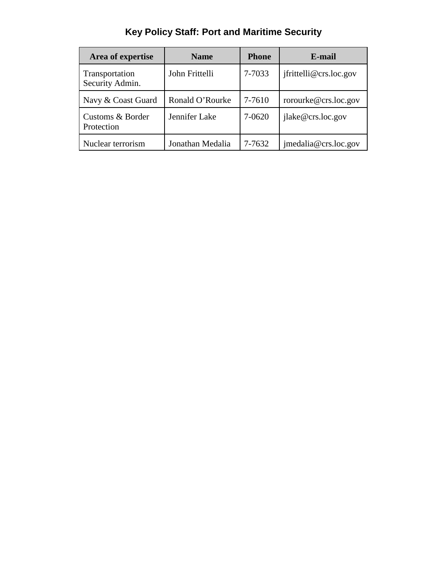|  | Key Policy Staff: Port and Maritime Security |  |  |
|--|----------------------------------------------|--|--|
|--|----------------------------------------------|--|--|

| Area of expertise                 | <b>Name</b>      | <b>Phone</b> | E-mail                 |
|-----------------------------------|------------------|--------------|------------------------|
| Transportation<br>Security Admin. | John Frittelli   | 7-7033       | ifrittelli@crs.loc.gov |
| Navy & Coast Guard                | Ronald O'Rourke  | 7-7610       | rorourke@crs.loc.gov   |
| Customs & Border<br>Protection    | Jennifer Lake    | 7-0620       | jlake@crs.loc.gov      |
| Nuclear terrorism                 | Jonathan Medalia | 7-7632       | imedalia@crs.loc.gov   |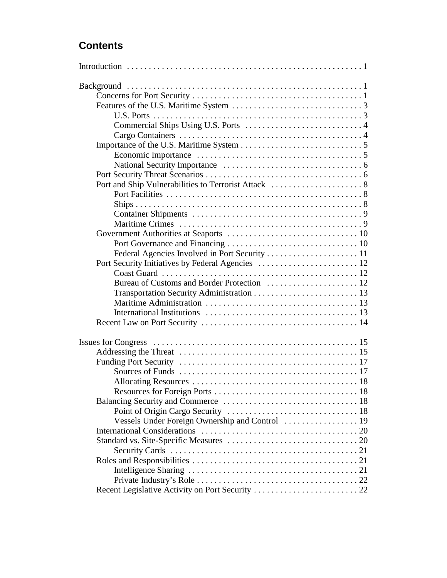# **Contents**

| Vessels Under Foreign Ownership and Control  19 |  |
|-------------------------------------------------|--|
|                                                 |  |
|                                                 |  |
|                                                 |  |
|                                                 |  |
|                                                 |  |
|                                                 |  |
|                                                 |  |
|                                                 |  |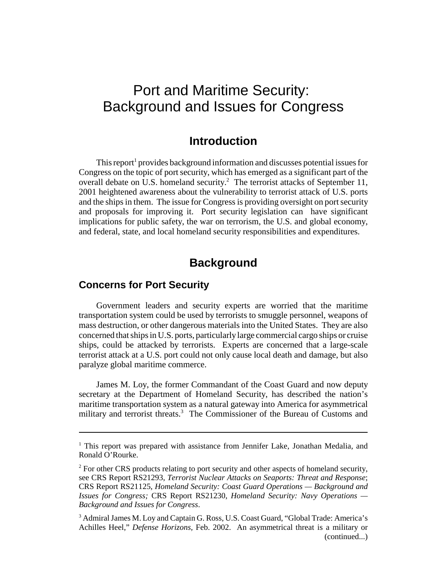# Port and Maritime Security: Background and Issues for Congress

# **Introduction**

This report<sup>1</sup> provides background information and discusses potential issues for Congress on the topic of port security, which has emerged as a significant part of the overall debate on U.S. homeland security.<sup>2</sup> The terrorist attacks of September 11, 2001 heightened awareness about the vulnerability to terrorist attack of U.S. ports and the ships in them. The issue for Congress is providing oversight on port security and proposals for improving it. Port security legislation can have significant implications for public safety, the war on terrorism, the U.S. and global economy, and federal, state, and local homeland security responsibilities and expenditures.

# **Background**

#### **Concerns for Port Security**

Government leaders and security experts are worried that the maritime transportation system could be used by terrorists to smuggle personnel, weapons of mass destruction, or other dangerous materials into the United States. They are also concerned that ships in U.S. ports, particularly large commercial cargo ships or cruise ships, could be attacked by terrorists. Experts are concerned that a large-scale terrorist attack at a U.S. port could not only cause local death and damage, but also paralyze global maritime commerce.

James M. Loy, the former Commandant of the Coast Guard and now deputy secretary at the Department of Homeland Security, has described the nation's maritime transportation system as a natural gateway into America for asymmetrical military and terrorist threats.<sup>3</sup> The Commissioner of the Bureau of Customs and

<sup>&</sup>lt;sup>1</sup> This report was prepared with assistance from Jennifer Lake, Jonathan Medalia, and Ronald O'Rourke.

<sup>&</sup>lt;sup>2</sup> For other CRS products relating to port security and other aspects of homeland security, see CRS Report RS21293, *Terrorist Nuclear Attacks on Seaports: Threat and Response*; CRS Report RS21125, *Homeland Security: Coast Guard Operations — Background and Issues for Congress;* CRS Report RS21230, *Homeland Security: Navy Operations — Background and Issues for Congress*.

<sup>&</sup>lt;sup>3</sup> Admiral James M. Loy and Captain G. Ross, U.S. Coast Guard, "Global Trade: America's Achilles Heel," *Defense Horizons,* Feb. 2002. An asymmetrical threat is a military or (continued...)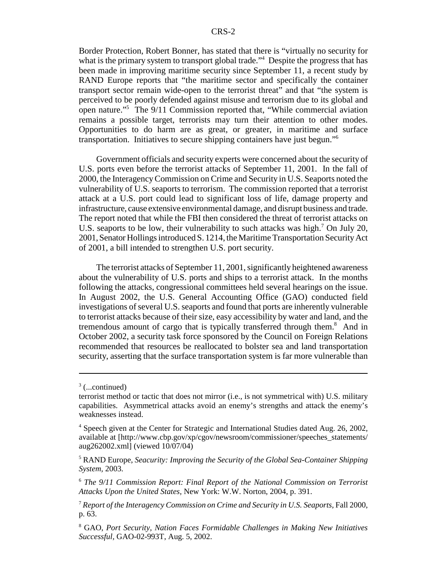Border Protection, Robert Bonner, has stated that there is "virtually no security for what is the primary system to transport global trade."<sup>4</sup> Despite the progress that has been made in improving maritime security since September 11, a recent study by RAND Europe reports that "the maritime sector and specifically the container transport sector remain wide-open to the terrorist threat" and that "the system is perceived to be poorly defended against misuse and terrorism due to its global and open nature."5 The 9/11 Commission reported that, "While commercial aviation remains a possible target, terrorists may turn their attention to other modes. Opportunities to do harm are as great, or greater, in maritime and surface transportation. Initiatives to secure shipping containers have just begun."6

Government officials and security experts were concerned about the security of U.S. ports even before the terrorist attacks of September 11, 2001. In the fall of 2000, the Interagency Commission on Crime and Security in U.S. Seaports noted the vulnerability of U.S. seaports to terrorism. The commission reported that a terrorist attack at a U.S. port could lead to significant loss of life, damage property and infrastructure, cause extensive environmental damage, and disrupt business and trade. The report noted that while the FBI then considered the threat of terrorist attacks on U.S. seaports to be low, their vulnerability to such attacks was high.<sup>7</sup> On July 20, 2001, Senator Hollings introduced S. 1214, the Maritime Transportation Security Act of 2001, a bill intended to strengthen U.S. port security.

The terrorist attacks of September 11, 2001, significantly heightened awareness about the vulnerability of U.S. ports and ships to a terrorist attack. In the months following the attacks, congressional committees held several hearings on the issue. In August 2002, the U.S. General Accounting Office (GAO) conducted field investigations of several U.S. seaports and found that ports are inherently vulnerable to terrorist attacks because of their size, easy accessibility by water and land, and the tremendous amount of cargo that is typically transferred through them.<sup>8</sup> And in October 2002, a security task force sponsored by the Council on Foreign Relations recommended that resources be reallocated to bolster sea and land transportation security, asserting that the surface transportation system is far more vulnerable than

 $3$  (...continued)

terrorist method or tactic that does not mirror (i.e., is not symmetrical with) U.S. military capabilities. Asymmetrical attacks avoid an enemy's strengths and attack the enemy's weaknesses instead.

<sup>&</sup>lt;sup>4</sup> Speech given at the Center for Strategic and International Studies dated Aug. 26, 2002, available at [http://www.cbp.gov/xp/cgov/newsroom/commissioner/speeches\_statements/ aug262002.xml] (viewed 10/07/04)

<sup>5</sup> RAND Europe, *Seacurity: Improving the Security of the Global Sea-Container Shipping System,* 2003.

<sup>6</sup> *The 9/11 Commission Report: Final Report of the National Commission on Terrorist Attacks Upon the United States,* New York: W.W. Norton, 2004, p. 391.

<sup>7</sup> *Report of the Interagency Commission on Crime and Security in U.S. Seaports,* Fall 2000, p. 63.

<sup>8</sup> GAO, *Port Security, Nation Faces Formidable Challenges in Making New Initiatives Successful,* GAO-02-993T, Aug. 5, 2002.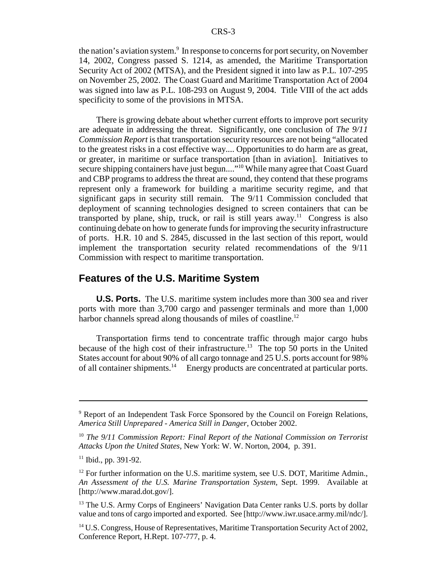the nation's aviation system.<sup>9</sup> In response to concerns for port security, on November 14, 2002, Congress passed S. 1214, as amended, the Maritime Transportation Security Act of 2002 (MTSA), and the President signed it into law as P.L. 107-295 on November 25, 2002. The Coast Guard and Maritime Transportation Act of 2004 was signed into law as P.L. 108-293 on August 9, 2004. Title VIII of the act adds specificity to some of the provisions in MTSA.

There is growing debate about whether current efforts to improve port security are adequate in addressing the threat. Significantly, one conclusion of *The 9/11 Commission Report* is that transportation security resources are not being "allocated to the greatest risks in a cost effective way.... Opportunities to do harm are as great, or greater, in maritime or surface transportation [than in aviation]. Initiatives to secure shipping containers have just begun...."<sup>10</sup> While many agree that Coast Guard and CBP programs to address the threat are sound, they contend that these programs represent only a framework for building a maritime security regime, and that significant gaps in security still remain. The 9/11 Commission concluded that deployment of scanning technologies designed to screen containers that can be transported by plane, ship, truck, or rail is still years away.<sup>11</sup> Congress is also continuing debate on how to generate funds for improving the security infrastructure of ports. H.R. 10 and S. 2845, discussed in the last section of this report, would implement the transportation security related recommendations of the 9/11 Commission with respect to maritime transportation.

#### **Features of the U.S. Maritime System**

**U.S. Ports.** The U.S. maritime system includes more than 300 sea and river ports with more than 3,700 cargo and passenger terminals and more than 1,000 harbor channels spread along thousands of miles of coastline.<sup>12</sup>

Transportation firms tend to concentrate traffic through major cargo hubs because of the high cost of their infrastructure.<sup>13</sup> The top 50 ports in the United States account for about 90% of all cargo tonnage and 25 U.S. ports account for 98% of all container shipments.<sup>14</sup> Energy products are concentrated at particular ports.

<sup>&</sup>lt;sup>9</sup> Report of an Independent Task Force Sponsored by the Council on Foreign Relations, *America Still Unprepared - America Still in Danger,* October 2002.

<sup>10</sup> *The 9/11 Commission Report: Final Report of the National Commission on Terrorist Attacks Upon the United States,* New York: W. W. Norton, 2004, p. 391.

 $11$  Ibid., pp. 391-92.

 $12$  For further information on the U.S. maritime system, see U.S. DOT, Maritime Admin., *An Assessment of the U.S. Marine Transportation System,* Sept. 1999. Available at [http://www.marad.dot.gov/].

<sup>&</sup>lt;sup>13</sup> The U.S. Army Corps of Engineers' Navigation Data Center ranks U.S. ports by dollar value and tons of cargo imported and exported. See [http://www.iwr.usace.army.mil/ndc/].

<sup>&</sup>lt;sup>14</sup> U.S. Congress, House of Representatives, Maritime Transportation Security Act of 2002, Conference Report, H.Rept. 107-777, p. 4.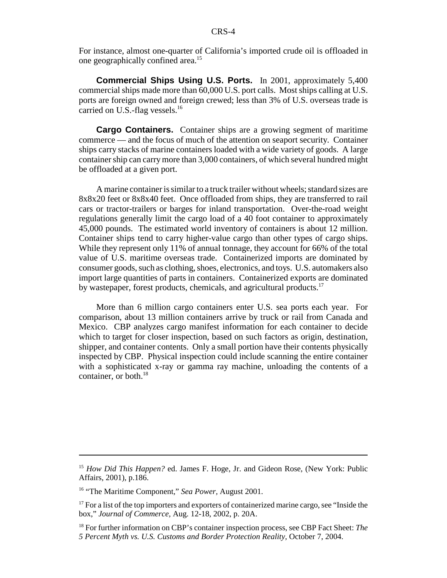For instance, almost one-quarter of California's imported crude oil is offloaded in one geographically confined area.15

**Commercial Ships Using U.S. Ports.** In 2001, approximately 5,400 commercial ships made more than 60,000 U.S. port calls. Most ships calling at U.S. ports are foreign owned and foreign crewed; less than 3% of U.S. overseas trade is carried on U.S.-flag vessels.<sup>16</sup>

**Cargo Containers.** Container ships are a growing segment of maritime commerce — and the focus of much of the attention on seaport security. Container ships carry stacks of marine containers loaded with a wide variety of goods. A large container ship can carry more than 3,000 containers, of which several hundred might be offloaded at a given port.

A marine container is similar to a truck trailer without wheels; standard sizes are 8x8x20 feet or 8x8x40 feet. Once offloaded from ships, they are transferred to rail cars or tractor-trailers or barges for inland transportation. Over-the-road weight regulations generally limit the cargo load of a 40 foot container to approximately 45,000 pounds. The estimated world inventory of containers is about 12 million. Container ships tend to carry higher-value cargo than other types of cargo ships. While they represent only 11% of annual tonnage, they account for 66% of the total value of U.S. maritime overseas trade. Containerized imports are dominated by consumer goods, such as clothing, shoes, electronics, and toys. U.S. automakers also import large quantities of parts in containers. Containerized exports are dominated by wastepaper, forest products, chemicals, and agricultural products.<sup>17</sup>

More than 6 million cargo containers enter U.S. sea ports each year. For comparison, about 13 million containers arrive by truck or rail from Canada and Mexico. CBP analyzes cargo manifest information for each container to decide which to target for closer inspection, based on such factors as origin, destination, shipper, and container contents. Only a small portion have their contents physically inspected by CBP. Physical inspection could include scanning the entire container with a sophisticated x-ray or gamma ray machine, unloading the contents of a container, or both.<sup>18</sup>

<sup>&</sup>lt;sup>15</sup> *How Did This Happen?* ed. James F. Hoge, Jr. and Gideon Rose, (New York: Public Affairs, 2001), p.186.

<sup>16 &</sup>quot;The Maritime Component," *Sea Power,* August 2001.

 $17$  For a list of the top importers and exporters of containerized marine cargo, see "Inside the box," *Journal of Commerce,* Aug. 12-18, 2002, p. 20A.

<sup>18</sup> For further information on CBP's container inspection process, see CBP Fact Sheet: *The 5 Percent Myth vs. U.S. Customs and Border Protection Reality,* October 7, 2004.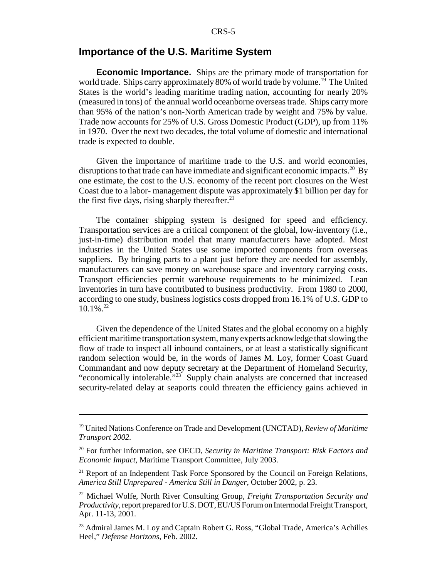#### **Importance of the U.S. Maritime System**

**Economic Importance.** Ships are the primary mode of transportation for world trade. Ships carry approximately 80% of world trade by volume.<sup>19</sup> The United States is the world's leading maritime trading nation, accounting for nearly 20% (measured in tons) of the annual world oceanborne overseas trade. Ships carry more than 95% of the nation's non-North American trade by weight and 75% by value. Trade now accounts for 25% of U.S. Gross Domestic Product (GDP), up from 11% in 1970. Over the next two decades, the total volume of domestic and international trade is expected to double.

Given the importance of maritime trade to the U.S. and world economies, disruptions to that trade can have immediate and significant economic impacts.<sup>20</sup> By one estimate, the cost to the U.S. economy of the recent port closures on the West Coast due to a labor- management dispute was approximately \$1 billion per day for the first five days, rising sharply thereafter. $^{21}$ 

The container shipping system is designed for speed and efficiency. Transportation services are a critical component of the global, low-inventory (i.e., just-in-time) distribution model that many manufacturers have adopted. Most industries in the United States use some imported components from overseas suppliers. By bringing parts to a plant just before they are needed for assembly, manufacturers can save money on warehouse space and inventory carrying costs. Transport efficiencies permit warehouse requirements to be minimized. Lean inventories in turn have contributed to business productivity. From 1980 to 2000, according to one study, business logistics costs dropped from 16.1% of U.S. GDP to  $10.1\%$ <sup>22</sup>

Given the dependence of the United States and the global economy on a highly efficient maritime transportation system, many experts acknowledge that slowing the flow of trade to inspect all inbound containers, or at least a statistically significant random selection would be, in the words of James M. Loy, former Coast Guard Commandant and now deputy secretary at the Department of Homeland Security, "economically intolerable."23 Supply chain analysts are concerned that increased security-related delay at seaports could threaten the efficiency gains achieved in

<sup>19</sup> United Nations Conference on Trade and Development (UNCTAD), *Review of Maritime Transport 2002.*

<sup>20</sup> For further information, see OECD, *Security in Maritime Transport: Risk Factors and Economic Impact,* Maritime Transport Committee, July 2003.

<sup>&</sup>lt;sup>21</sup> Report of an Independent Task Force Sponsored by the Council on Foreign Relations, *America Still Unprepared - America Still in Danger,* October 2002, p. 23.

<sup>22</sup> Michael Wolfe, North River Consulting Group, *Freight Transportation Security and Productivity,* report prepared for U.S. DOT, EU/US Forum on Intermodal Freight Transport, Apr. 11-13, 2001.

<sup>&</sup>lt;sup>23</sup> Admiral James M. Loy and Captain Robert G. Ross, "Global Trade, America's Achilles Heel," *Defense Horizons,* Feb. 2002.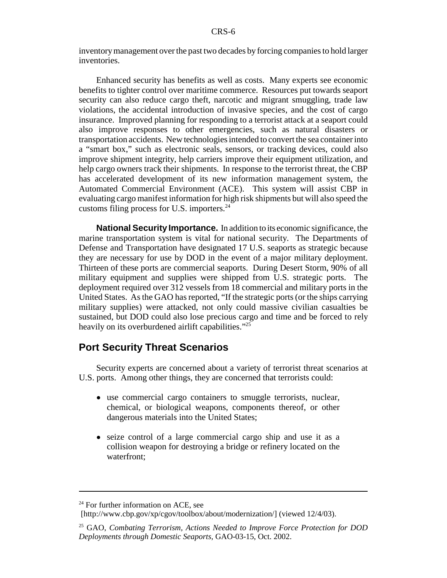inventory management over the past two decades by forcing companies to hold larger inventories.

Enhanced security has benefits as well as costs. Many experts see economic benefits to tighter control over maritime commerce. Resources put towards seaport security can also reduce cargo theft, narcotic and migrant smuggling, trade law violations, the accidental introduction of invasive species, and the cost of cargo insurance. Improved planning for responding to a terrorist attack at a seaport could also improve responses to other emergencies, such as natural disasters or transportation accidents. New technologies intended to convert the sea container into a "smart box," such as electronic seals, sensors, or tracking devices, could also improve shipment integrity, help carriers improve their equipment utilization, and help cargo owners track their shipments. In response to the terrorist threat, the CBP has accelerated development of its new information management system, the Automated Commercial Environment (ACE). This system will assist CBP in evaluating cargo manifest information for high risk shipments but will also speed the customs filing process for U.S. importers.<sup>24</sup>

**National Security Importance.** In addition to its economic significance, the marine transportation system is vital for national security. The Departments of Defense and Transportation have designated 17 U.S. seaports as strategic because they are necessary for use by DOD in the event of a major military deployment. Thirteen of these ports are commercial seaports. During Desert Storm, 90% of all military equipment and supplies were shipped from U.S. strategic ports. The deployment required over 312 vessels from 18 commercial and military ports in the United States. As the GAO has reported, "If the strategic ports (or the ships carrying military supplies) were attacked, not only could massive civilian casualties be sustained, but DOD could also lose precious cargo and time and be forced to rely heavily on its overburdened airlift capabilities."<sup>25</sup>

#### **Port Security Threat Scenarios**

Security experts are concerned about a variety of terrorist threat scenarios at U.S. ports. Among other things, they are concerned that terrorists could:

- ! use commercial cargo containers to smuggle terrorists, nuclear, chemical, or biological weapons, components thereof, or other dangerous materials into the United States;
- ! seize control of a large commercial cargo ship and use it as a collision weapon for destroying a bridge or refinery located on the waterfront;

 $24$  For further information on ACE, see

<sup>[</sup>http://www.cbp.gov/xp/cgov/toolbox/about/modernization/] (viewed 12/4/03).

<sup>25</sup> GAO, *Combating Terrorism, Actions Needed to Improve Force Protection for DOD Deployments through Domestic Seaports,* GAO-03-15, Oct. 2002.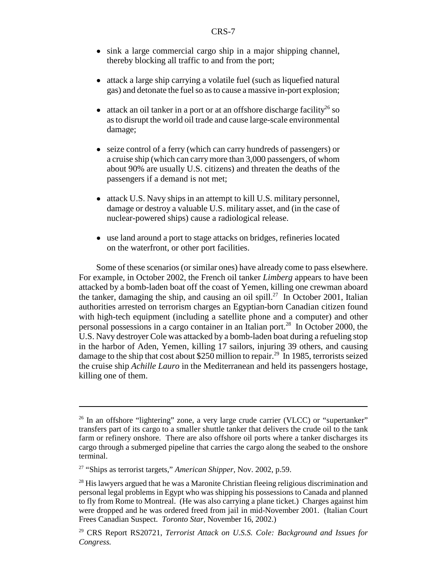- sink a large commercial cargo ship in a major shipping channel, thereby blocking all traffic to and from the port;
- attack a large ship carrying a volatile fuel (such as liquefied natural gas) and detonate the fuel so as to cause a massive in-port explosion;
- $\bullet$  attack an oil tanker in a port or at an offshore discharge facility<sup>26</sup> so as to disrupt the world oil trade and cause large-scale environmental damage;
- seize control of a ferry (which can carry hundreds of passengers) or a cruise ship (which can carry more than 3,000 passengers, of whom about 90% are usually U.S. citizens) and threaten the deaths of the passengers if a demand is not met;
- ! attack U.S. Navy ships in an attempt to kill U.S. military personnel, damage or destroy a valuable U.S. military asset, and (in the case of nuclear-powered ships) cause a radiological release.
- use land around a port to stage attacks on bridges, refineries located on the waterfront, or other port facilities.

Some of these scenarios (or similar ones) have already come to pass elsewhere. For example, in October 2002, the French oil tanker *Limberg* appears to have been attacked by a bomb-laden boat off the coast of Yemen, killing one crewman aboard the tanker, damaging the ship, and causing an oil spill.<sup>27</sup> In October 2001, Italian authorities arrested on terrorism charges an Egyptian-born Canadian citizen found with high-tech equipment (including a satellite phone and a computer) and other personal possessions in a cargo container in an Italian port.<sup>28</sup> In October 2000, the U.S. Navy destroyer Cole was attacked by a bomb-laden boat during a refueling stop in the harbor of Aden, Yemen, killing 17 sailors, injuring 39 others, and causing damage to the ship that cost about \$250 million to repair.<sup>29</sup> In 1985, terrorists seized the cruise ship *Achille Lauro* in the Mediterranean and held its passengers hostage, killing one of them.

 $26$  In an offshore "lightering" zone, a very large crude carrier (VLCC) or "supertanker" transfers part of its cargo to a smaller shuttle tanker that delivers the crude oil to the tank farm or refinery onshore. There are also offshore oil ports where a tanker discharges its cargo through a submerged pipeline that carries the cargo along the seabed to the onshore terminal.

<sup>27 &</sup>quot;Ships as terrorist targets," *American Shipper,* Nov. 2002, p.59.

 $^{28}$  His lawyers argued that he was a Maronite Christian fleeing religious discrimination and personal legal problems in Egypt who was shipping his possessions to Canada and planned to fly from Rome to Montreal. (He was also carrying a plane ticket.) Charges against him were dropped and he was ordered freed from jail in mid-November 2001. (Italian Court Frees Canadian Suspect. *Toronto Star*, November 16, 2002.)

<sup>29</sup> CRS Report RS20721, *Terrorist Attack on U.S.S. Cole: Background and Issues for Congress.*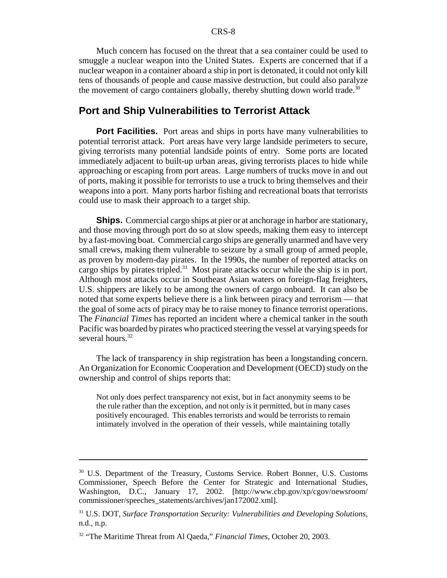Much concern has focused on the threat that a sea container could be used to smuggle a nuclear weapon into the United States. Experts are concerned that if a nuclear weapon in a container aboard a ship in port is detonated, it could not only kill tens of thousands of people and cause massive destruction, but could also paralyze the movement of cargo containers globally, thereby shutting down world trade.<sup>30</sup>

# **Port and Ship Vulnerabilities to Terrorist Attack**

**Port Facilities.** Port areas and ships in ports have many vulnerabilities to potential terrorist attack. Port areas have very large landside perimeters to secure, giving terrorists many potential landside points of entry. Some ports are located immediately adjacent to built-up urban areas, giving terrorists places to hide while approaching or escaping from port areas. Large numbers of trucks move in and out of ports, making it possible for terrorists to use a truck to bring themselves and their weapons into a port. Many ports harbor fishing and recreational boats that terrorists could use to mask their approach to a target ship.

**Ships.** Commercial cargo ships at pier or at anchorage in harbor are stationary, and those moving through port do so at slow speeds, making them easy to intercept by a fast-moving boat. Commercial cargo ships are generally unarmed and have very small crews, making them vulnerable to seizure by a small group of armed people, as proven by modern-day pirates. In the 1990s, the number of reported attacks on cargo ships by pirates tripled. $31$  Most pirate attacks occur while the ship is in port. Although most attacks occur in Southeast Asian waters on foreign-flag freighters, U.S. shippers are likely to be among the owners of cargo onboard. It can also be noted that some experts believe there is a link between piracy and terrorism — that the goal of some acts of piracy may be to raise money to finance terrorist operations. The *Financial Times* has reported an incident where a chemical tanker in the south Pacific was boarded by pirates who practiced steering the vessel at varying speeds for several hours.<sup>32</sup>

The lack of transparency in ship registration has been a longstanding concern. An Organization for Economic Cooperation and Development (OECD) study on the ownership and control of ships reports that:

Not only does perfect transparency not exist, but in fact anonymity seems to be the rule rather than the exception, and not only is it permitted, but in many cases positively encouraged. This enables terrorists and would be terrorists to remain intimately involved in the operation of their vessels, while maintaining totally

<sup>30</sup> U.S. Department of the Treasury, Customs Service. Robert Bonner, U.S. Customs Commissioner, Speech Before the Center for Strategic and International Studies, Washington, D.C., January 17, 2002. [http://www.cbp.gov/xp/cgov/newsroom/ commissioner/speeches\_statements/archives/jan172002.xml].

<sup>31</sup> U.S. DOT, *Surface Transportation Security: Vulnerabilities and Developing Solutions,* n.d., n.p.

<sup>32 &</sup>quot;The Maritime Threat from Al Qaeda," *Financial Times,* October 20, 2003.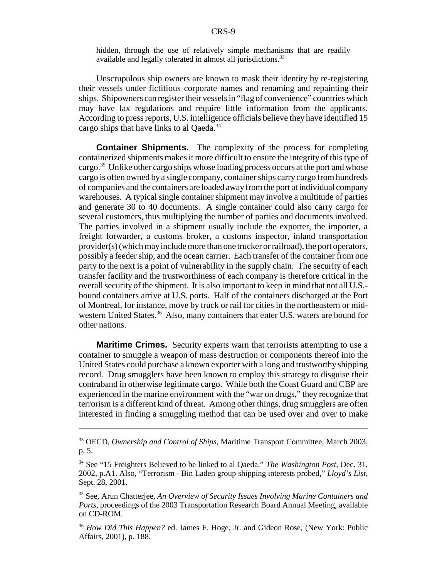hidden, through the use of relatively simple mechanisms that are readily available and legally tolerated in almost all jurisdictions.<sup>33</sup>

Unscrupulous ship owners are known to mask their identity by re-registering their vessels under fictitious corporate names and renaming and repainting their ships. Shipowners can register their vessels in "flag of convenience" countries which may have lax regulations and require little information from the applicants. According to press reports, U.S. intelligence officials believe they have identified 15 cargo ships that have links to al Qaeda.<sup>34</sup>

**Container Shipments.** The complexity of the process for completing containerized shipments makes it more difficult to ensure the integrity of this type of cargo.<sup>35</sup> Unlike other cargo ships whose loading process occurs at the port and whose cargo is often owned by a single company, container ships carry cargo from hundreds of companies and the containers are loaded away from the port at individual company warehouses. A typical single container shipment may involve a multitude of parties and generate 30 to 40 documents. A single container could also carry cargo for several customers, thus multiplying the number of parties and documents involved. The parties involved in a shipment usually include the exporter, the importer, a freight forwarder, a customs broker, a customs inspector, inland transportation provider(s) (which may include more than one trucker or railroad), the port operators, possibly a feeder ship, and the ocean carrier. Each transfer of the container from one party to the next is a point of vulnerability in the supply chain. The security of each transfer facility and the trustworthiness of each company is therefore critical in the overall security of the shipment. It is also important to keep in mind that not all U.S. bound containers arrive at U.S. ports. Half of the containers discharged at the Port of Montreal, for instance, move by truck or rail for cities in the northeastern or midwestern United States.<sup>36</sup> Also, many containers that enter U.S. waters are bound for other nations.

**Maritime Crimes.** Security experts warn that terrorists attempting to use a container to smuggle a weapon of mass destruction or components thereof into the United States could purchase a known exporter with a long and trustworthy shipping record. Drug smugglers have been known to employ this strategy to disguise their contraband in otherwise legitimate cargo. While both the Coast Guard and CBP are experienced in the marine environment with the "war on drugs," they recognize that terrorism is a different kind of threat. Among other things, drug smugglers are often interested in finding a smuggling method that can be used over and over to make

<sup>33</sup> OECD, *Ownership and Control of Ships,* Maritime Transport Committee, March 2003, p. 5.

<sup>34</sup> See "15 Freighters Believed to be linked to al Qaeda," *The Washington Post,* Dec. 31, 2002, p.A1. Also, "Terrorism - Bin Laden group shipping interests probed," *Lloyd's List,* Sept. 28, 2001.

<sup>35</sup> See, Arun Chatterjee, *An Overview of Security Issues Involving Marine Containers and Ports,* proceedings of the 2003 Transportation Research Board Annual Meeting, available on CD-ROM.

<sup>36</sup> *How Did This Happen?* ed. James F. Hoge, Jr. and Gideon Rose, (New York: Public Affairs, 2001), p. 188.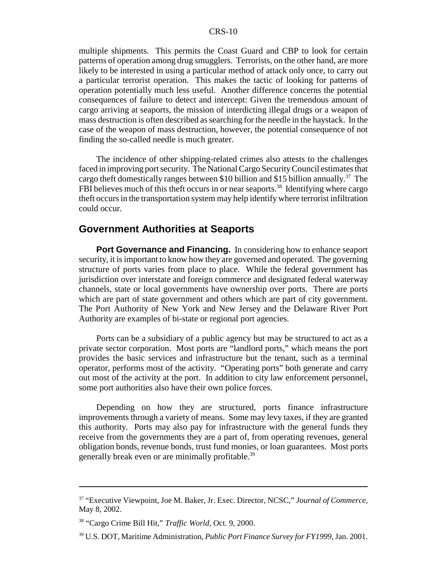multiple shipments. This permits the Coast Guard and CBP to look for certain patterns of operation among drug smugglers. Terrorists, on the other hand, are more likely to be interested in using a particular method of attack only once, to carry out a particular terrorist operation. This makes the tactic of looking for patterns of operation potentially much less useful. Another difference concerns the potential consequences of failure to detect and intercept: Given the tremendous amount of cargo arriving at seaports, the mission of interdicting illegal drugs or a weapon of mass destruction is often described as searching for the needle in the haystack. In the case of the weapon of mass destruction, however, the potential consequence of not finding the so-called needle is much greater.

The incidence of other shipping-related crimes also attests to the challenges faced in improving port security. The National Cargo Security Council estimates that cargo theft domestically ranges between \$10 billion and \$15 billion annually.37 The FBI believes much of this theft occurs in or near seaports.<sup>38</sup> Identifying where cargo theft occurs in the transportation system may help identify where terrorist infiltration could occur.

# **Government Authorities at Seaports**

**Port Governance and Financing.** In considering how to enhance seaport security, it is important to know how they are governed and operated. The governing structure of ports varies from place to place. While the federal government has jurisdiction over interstate and foreign commerce and designated federal waterway channels, state or local governments have ownership over ports. There are ports which are part of state government and others which are part of city government. The Port Authority of New York and New Jersey and the Delaware River Port Authority are examples of bi-state or regional port agencies.

Ports can be a subsidiary of a public agency but may be structured to act as a private sector corporation. Most ports are "landlord ports," which means the port provides the basic services and infrastructure but the tenant, such as a terminal operator, performs most of the activity. "Operating ports" both generate and carry out most of the activity at the port. In addition to city law enforcement personnel, some port authorities also have their own police forces.

Depending on how they are structured, ports finance infrastructure improvements through a variety of means. Some may levy taxes, if they are granted this authority. Ports may also pay for infrastructure with the general funds they receive from the governments they are a part of, from operating revenues, general obligation bonds, revenue bonds, trust fund monies, or loan guarantees. Most ports generally break even or are minimally profitable.<sup>39</sup>

<sup>37 &</sup>quot;Executive Viewpoint, Joe M. Baker, Jr. Exec. Director, NCSC," *Journal of Commerce,* May 8, 2002.

<sup>38 &</sup>quot;Cargo Crime Bill Hit," *Traffic World,* Oct. 9, 2000.

<sup>39</sup> U.S. DOT, Maritime Administration, *Public Port Finance Survey for FY1999,* Jan. 2001.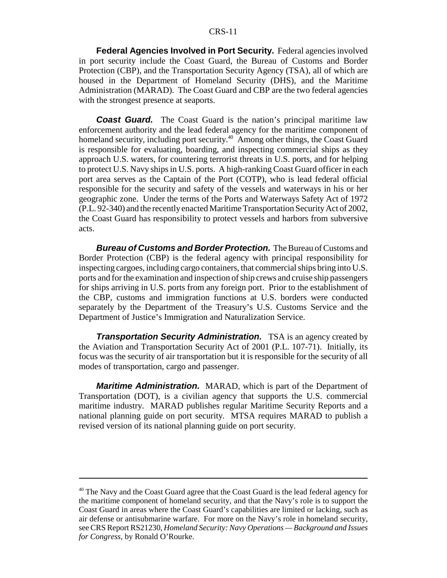#### CRS-11

**Federal Agencies Involved in Port Security.** Federal agencies involved in port security include the Coast Guard, the Bureau of Customs and Border Protection (CBP), and the Transportation Security Agency (TSA), all of which are housed in the Department of Homeland Security (DHS), and the Maritime Administration (MARAD). The Coast Guard and CBP are the two federal agencies with the strongest presence at seaports.

*Coast Guard.* The Coast Guard is the nation's principal maritime law enforcement authority and the lead federal agency for the maritime component of homeland security, including port security.<sup>40</sup> Among other things, the Coast Guard is responsible for evaluating, boarding, and inspecting commercial ships as they approach U.S. waters, for countering terrorist threats in U.S. ports, and for helping to protect U.S. Navy ships in U.S. ports. A high-ranking Coast Guard officer in each port area serves as the Captain of the Port (COTP), who is lead federal official responsible for the security and safety of the vessels and waterways in his or her geographic zone. Under the terms of the Ports and Waterways Safety Act of 1972 (P.L. 92-340) and the recently enacted Maritime Transportation Security Act of 2002, the Coast Guard has responsibility to protect vessels and harbors from subversive acts.

*Bureau of Customs and Border Protection.* The Bureau of Customs and Border Protection (CBP) is the federal agency with principal responsibility for inspecting cargoes, including cargo containers, that commercial ships bring into U.S. ports and for the examination and inspection of ship crews and cruise ship passengers for ships arriving in U.S. ports from any foreign port. Prior to the establishment of the CBP, customs and immigration functions at U.S. borders were conducted separately by the Department of the Treasury's U.S. Customs Service and the Department of Justice's Immigration and Naturalization Service.

*Transportation Security Administration.* TSA is an agency created by the Aviation and Transportation Security Act of 2001 (P.L. 107-71). Initially, its focus was the security of air transportation but it is responsible for the security of all modes of transportation, cargo and passenger.

*Maritime Administration.* MARAD, which is part of the Department of Transportation (DOT), is a civilian agency that supports the U.S. commercial maritime industry. MARAD publishes regular Maritime Security Reports and a national planning guide on port security. MTSA requires MARAD to publish a revised version of its national planning guide on port security.

<sup>&</sup>lt;sup>40</sup> The Navy and the Coast Guard agree that the Coast Guard is the lead federal agency for the maritime component of homeland security, and that the Navy's role is to support the Coast Guard in areas where the Coast Guard's capabilities are limited or lacking, such as air defense or antisubmarine warfare. For more on the Navy's role in homeland security, see CRS Report RS21230, *Homeland Security: Navy Operations — Background and Issues for Congress*, by Ronald O'Rourke.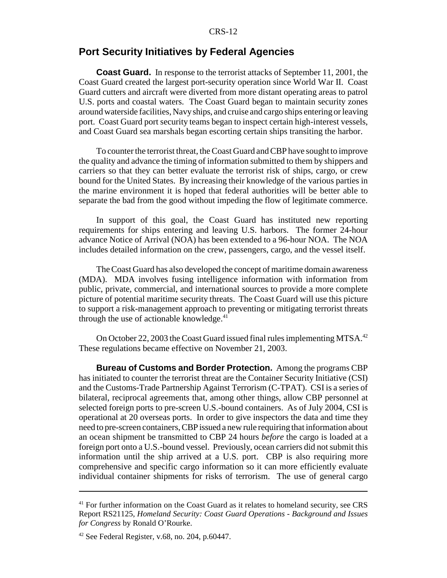#### CRS-12

#### **Port Security Initiatives by Federal Agencies**

**Coast Guard.** In response to the terrorist attacks of September 11, 2001, the Coast Guard created the largest port-security operation since World War II. Coast Guard cutters and aircraft were diverted from more distant operating areas to patrol U.S. ports and coastal waters. The Coast Guard began to maintain security zones around waterside facilities, Navy ships, and cruise and cargo ships entering or leaving port. Coast Guard port security teams began to inspect certain high-interest vessels, and Coast Guard sea marshals began escorting certain ships transiting the harbor.

To counter the terrorist threat, the Coast Guard and CBP have sought to improve the quality and advance the timing of information submitted to them by shippers and carriers so that they can better evaluate the terrorist risk of ships, cargo, or crew bound for the United States. By increasing their knowledge of the various parties in the marine environment it is hoped that federal authorities will be better able to separate the bad from the good without impeding the flow of legitimate commerce.

In support of this goal, the Coast Guard has instituted new reporting requirements for ships entering and leaving U.S. harbors. The former 24-hour advance Notice of Arrival (NOA) has been extended to a 96-hour NOA. The NOA includes detailed information on the crew, passengers, cargo, and the vessel itself.

The Coast Guard has also developed the concept of maritime domain awareness (MDA). MDA involves fusing intelligence information with information from public, private, commercial, and international sources to provide a more complete picture of potential maritime security threats. The Coast Guard will use this picture to support a risk-management approach to preventing or mitigating terrorist threats through the use of actionable knowledge. $41$ 

On October 22, 2003 the Coast Guard issued final rules implementing MTSA.<sup>42</sup> These regulations became effective on November 21, 2003.

**Bureau of Customs and Border Protection.** Among the programs CBP has initiated to counter the terrorist threat are the Container Security Initiative (CSI) and the Customs-Trade Partnership Against Terrorism (C-TPAT). CSI is a series of bilateral, reciprocal agreements that, among other things, allow CBP personnel at selected foreign ports to pre-screen U.S.-bound containers. As of July 2004, CSI is operational at 20 overseas ports. In order to give inspectors the data and time they need to pre-screen containers, CBP issued a new rule requiring that information about an ocean shipment be transmitted to CBP 24 hours *before* the cargo is loaded at a foreign port onto a U.S.-bound vessel. Previously, ocean carriers did not submit this information until the ship arrived at a U.S. port. CBP is also requiring more comprehensive and specific cargo information so it can more efficiently evaluate individual container shipments for risks of terrorism. The use of general cargo

<sup>&</sup>lt;sup>41</sup> For further information on the Coast Guard as it relates to homeland security, see CRS Report RS21125, *Homeland Security: Coast Guard Operations - Background and Issues for Congress* by Ronald O'Rourke.

<sup>42</sup> See Federal Register, v.68, no. 204, p.60447.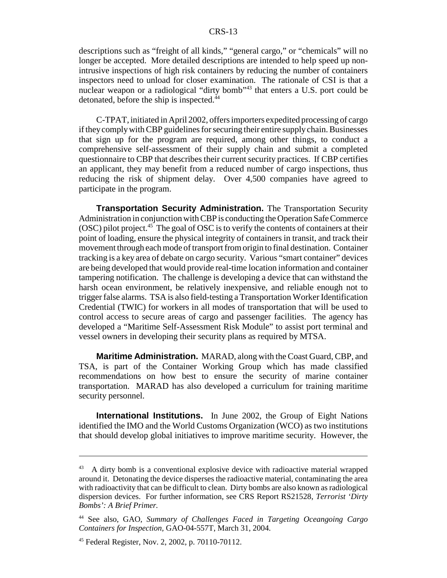descriptions such as "freight of all kinds," "general cargo," or "chemicals" will no longer be accepted. More detailed descriptions are intended to help speed up nonintrusive inspections of high risk containers by reducing the number of containers inspectors need to unload for closer examination. The rationale of CSI is that a nuclear weapon or a radiological "dirty bomb"<sup>43</sup> that enters a U.S. port could be detonated, before the ship is inspected.<sup>44</sup>

C-TPAT, initiated in April 2002, offers importers expedited processing of cargo if they comply with CBP guidelines for securing their entire supply chain. Businesses that sign up for the program are required, among other things, to conduct a comprehensive self-assessment of their supply chain and submit a completed questionnaire to CBP that describes their current security practices. If CBP certifies an applicant, they may benefit from a reduced number of cargo inspections, thus reducing the risk of shipment delay. Over 4,500 companies have agreed to participate in the program.

**Transportation Security Administration.** The Transportation Security Administration in conjunction with CBP is conducting the Operation Safe Commerce  $(OSC)$  pilot project.<sup>45</sup> The goal of OSC is to verify the contents of containers at their point of loading, ensure the physical integrity of containers in transit, and track their movement through each mode of transport from origin to final destination. Container tracking is a key area of debate on cargo security. Various "smart container" devices are being developed that would provide real-time location information and container tampering notification. The challenge is developing a device that can withstand the harsh ocean environment, be relatively inexpensive, and reliable enough not to trigger false alarms. TSA is also field-testing a Transportation Worker Identification Credential (TWIC) for workers in all modes of transportation that will be used to control access to secure areas of cargo and passenger facilities. The agency has developed a "Maritime Self-Assessment Risk Module" to assist port terminal and vessel owners in developing their security plans as required by MTSA.

**Maritime Administration.** MARAD, along with the Coast Guard, CBP, and TSA, is part of the Container Working Group which has made classified recommendations on how best to ensure the security of marine container transportation. MARAD has also developed a curriculum for training maritime security personnel.

**International Institutions.** In June 2002, the Group of Eight Nations identified the IMO and the World Customs Organization (WCO) as two institutions that should develop global initiatives to improve maritime security. However, the

<sup>43</sup> A dirty bomb is a conventional explosive device with radioactive material wrapped around it. Detonating the device disperses the radioactive material, contaminating the area with radioactivity that can be difficult to clean. Dirty bombs are also known as radiological dispersion devices. For further information, see CRS Report RS21528, *Terrorist 'Dirty Bombs': A Brief Primer.*

<sup>44</sup> See also, GAO, *Summary of Challenges Faced in Targeting Oceangoing Cargo Containers for Inspection,* GAO-04-557T, March 31, 2004.

<sup>45</sup> Federal Register, Nov. 2, 2002, p. 70110-70112.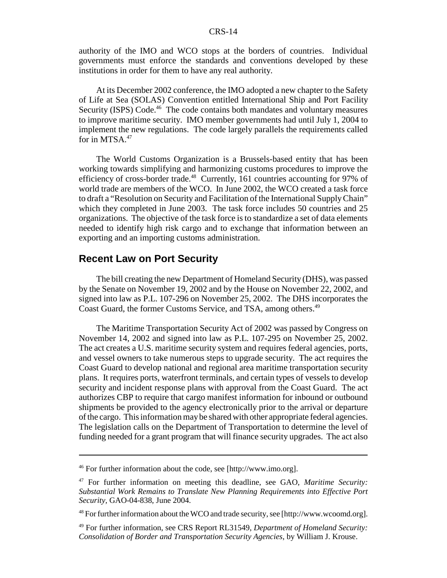#### CRS-14

authority of the IMO and WCO stops at the borders of countries. Individual governments must enforce the standards and conventions developed by these institutions in order for them to have any real authority.

At its December 2002 conference, the IMO adopted a new chapter to the Safety of Life at Sea (SOLAS) Convention entitled International Ship and Port Facility Security (ISPS) Code.<sup>46</sup> The code contains both mandates and voluntary measures to improve maritime security. IMO member governments had until July 1, 2004 to implement the new regulations. The code largely parallels the requirements called for in MTSA.<sup>47</sup>

The World Customs Organization is a Brussels-based entity that has been working towards simplifying and harmonizing customs procedures to improve the efficiency of cross-border trade.<sup>48</sup> Currently, 161 countries accounting for 97% of world trade are members of the WCO. In June 2002, the WCO created a task force to draft a "Resolution on Security and Facilitation of the International Supply Chain" which they completed in June 2003. The task force includes 50 countries and 25 organizations. The objective of the task force is to standardize a set of data elements needed to identify high risk cargo and to exchange that information between an exporting and an importing customs administration.

### **Recent Law on Port Security**

The bill creating the new Department of Homeland Security (DHS), was passed by the Senate on November 19, 2002 and by the House on November 22, 2002, and signed into law as P.L. 107-296 on November 25, 2002. The DHS incorporates the Coast Guard, the former Customs Service, and TSA, among others.<sup>49</sup>

The Maritime Transportation Security Act of 2002 was passed by Congress on November 14, 2002 and signed into law as P.L. 107-295 on November 25, 2002. The act creates a U.S. maritime security system and requires federal agencies, ports, and vessel owners to take numerous steps to upgrade security. The act requires the Coast Guard to develop national and regional area maritime transportation security plans. It requires ports, waterfront terminals, and certain types of vessels to develop security and incident response plans with approval from the Coast Guard. The act authorizes CBP to require that cargo manifest information for inbound or outbound shipments be provided to the agency electronically prior to the arrival or departure of the cargo. This information may be shared with other appropriate federal agencies. The legislation calls on the Department of Transportation to determine the level of funding needed for a grant program that will finance security upgrades. The act also

<sup>46</sup> For further information about the code, see [http://www.imo.org].

<sup>47</sup> For further information on meeting this deadline, see GAO, *Maritime Security: Substantial Work Remains to Translate New Planning Requirements into Effective Port Security,* GAO-04-838, June 2004.

<sup>48</sup> For further information about the WCO and trade security, see [http://www.wcoomd.org].

<sup>49</sup> For further information, see CRS Report RL31549, *Department of Homeland Security: Consolidation of Border and Transportation Security Agencies*, by William J. Krouse.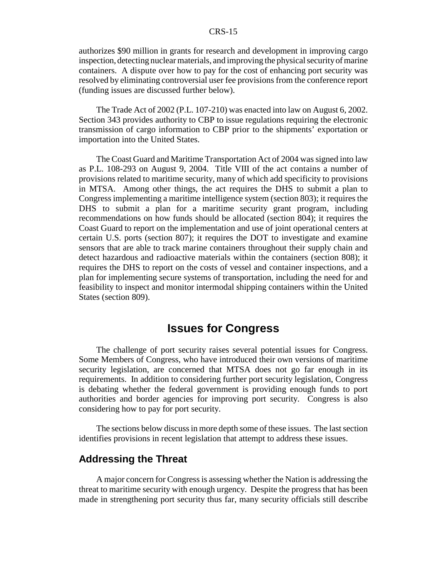#### CRS-15

authorizes \$90 million in grants for research and development in improving cargo inspection, detecting nuclear materials, and improving the physical security of marine containers. A dispute over how to pay for the cost of enhancing port security was resolved by eliminating controversial user fee provisions from the conference report (funding issues are discussed further below).

The Trade Act of 2002 (P.L. 107-210) was enacted into law on August 6, 2002. Section 343 provides authority to CBP to issue regulations requiring the electronic transmission of cargo information to CBP prior to the shipments' exportation or importation into the United States.

The Coast Guard and Maritime Transportation Act of 2004 was signed into law as P.L. 108-293 on August 9, 2004. Title VIII of the act contains a number of provisions related to maritime security, many of which add specificity to provisions in MTSA. Among other things, the act requires the DHS to submit a plan to Congress implementing a maritime intelligence system (section 803); it requires the DHS to submit a plan for a maritime security grant program, including recommendations on how funds should be allocated (section 804); it requires the Coast Guard to report on the implementation and use of joint operational centers at certain U.S. ports (section 807); it requires the DOT to investigate and examine sensors that are able to track marine containers throughout their supply chain and detect hazardous and radioactive materials within the containers (section 808); it requires the DHS to report on the costs of vessel and container inspections, and a plan for implementing secure systems of transportation, including the need for and feasibility to inspect and monitor intermodal shipping containers within the United States (section 809).

# **Issues for Congress**

The challenge of port security raises several potential issues for Congress. Some Members of Congress, who have introduced their own versions of maritime security legislation, are concerned that MTSA does not go far enough in its requirements. In addition to considering further port security legislation, Congress is debating whether the federal government is providing enough funds to port authorities and border agencies for improving port security. Congress is also considering how to pay for port security.

The sections below discuss in more depth some of these issues. The last section identifies provisions in recent legislation that attempt to address these issues.

#### **Addressing the Threat**

A major concern for Congress is assessing whether the Nation is addressing the threat to maritime security with enough urgency. Despite the progress that has been made in strengthening port security thus far, many security officials still describe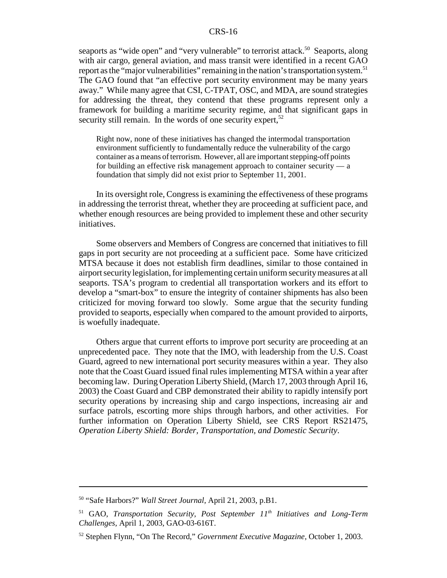seaports as "wide open" and "very vulnerable" to terrorist attack.<sup>50</sup> Seaports, along with air cargo, general aviation, and mass transit were identified in a recent GAO report as the "major vulnerabilities" remaining in the nation's transportation system.<sup>51</sup> The GAO found that "an effective port security environment may be many years away." While many agree that CSI, C-TPAT, OSC, and MDA, are sound strategies for addressing the threat, they contend that these programs represent only a framework for building a maritime security regime, and that significant gaps in security still remain. In the words of one security expert,  $52$ 

Right now, none of these initiatives has changed the intermodal transportation environment sufficiently to fundamentally reduce the vulnerability of the cargo container as a means of terrorism. However, all are important stepping-off points for building an effective risk management approach to container security — a foundation that simply did not exist prior to September 11, 2001.

In its oversight role, Congress is examining the effectiveness of these programs in addressing the terrorist threat, whether they are proceeding at sufficient pace, and whether enough resources are being provided to implement these and other security initiatives.

Some observers and Members of Congress are concerned that initiatives to fill gaps in port security are not proceeding at a sufficient pace. Some have criticized MTSA because it does not establish firm deadlines, similar to those contained in airport security legislation, for implementing certain uniform security measures at all seaports. TSA's program to credential all transportation workers and its effort to develop a "smart-box" to ensure the integrity of container shipments has also been criticized for moving forward too slowly. Some argue that the security funding provided to seaports, especially when compared to the amount provided to airports, is woefully inadequate.

Others argue that current efforts to improve port security are proceeding at an unprecedented pace. They note that the IMO, with leadership from the U.S. Coast Guard, agreed to new international port security measures within a year. They also note that the Coast Guard issued final rules implementing MTSA within a year after becoming law. During Operation Liberty Shield, (March 17, 2003 through April 16, 2003) the Coast Guard and CBP demonstrated their ability to rapidly intensify port security operations by increasing ship and cargo inspections, increasing air and surface patrols, escorting more ships through harbors, and other activities. For further information on Operation Liberty Shield, see CRS Report RS21475, *Operation Liberty Shield: Border, Transportation, and Domestic Security*.

<sup>50 &</sup>quot;Safe Harbors?" *Wall Street Journal,* April 21, 2003, p.B1.

<sup>51</sup> GAO, *Transportation Security, Post September 11th Initiatives and Long-Term Challenges,* April 1, 2003, GAO-03-616T.

<sup>52</sup> Stephen Flynn, "On The Record," *Government Executive Magazine,* October 1, 2003.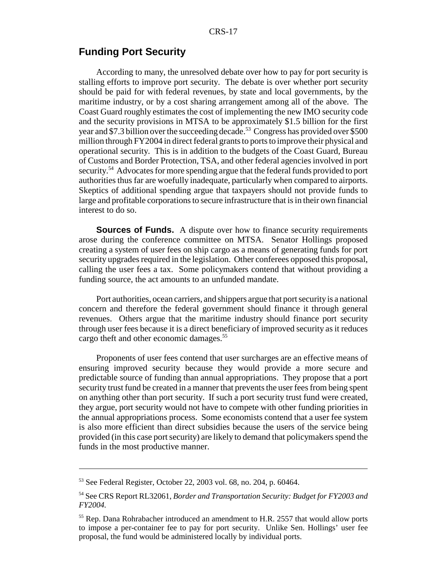## **Funding Port Security**

According to many, the unresolved debate over how to pay for port security is stalling efforts to improve port security. The debate is over whether port security should be paid for with federal revenues, by state and local governments, by the maritime industry, or by a cost sharing arrangement among all of the above. The Coast Guard roughly estimates the cost of implementing the new IMO security code and the security provisions in MTSA to be approximately \$1.5 billion for the first year and \$7.3 billion over the succeeding decade.<sup>53</sup> Congress has provided over \$500 million through FY2004 in direct federal grants to ports to improve their physical and operational security. This is in addition to the budgets of the Coast Guard, Bureau of Customs and Border Protection, TSA, and other federal agencies involved in port security.54 Advocates for more spending argue that the federal funds provided to port authorities thus far are woefully inadequate, particularly when compared to airports. Skeptics of additional spending argue that taxpayers should not provide funds to large and profitable corporations to secure infrastructure that is in their own financial interest to do so.

**Sources of Funds.** A dispute over how to finance security requirements arose during the conference committee on MTSA. Senator Hollings proposed creating a system of user fees on ship cargo as a means of generating funds for port security upgrades required in the legislation. Other conferees opposed this proposal, calling the user fees a tax. Some policymakers contend that without providing a funding source, the act amounts to an unfunded mandate.

Port authorities, ocean carriers, and shippers argue that port security is a national concern and therefore the federal government should finance it through general revenues. Others argue that the maritime industry should finance port security through user fees because it is a direct beneficiary of improved security as it reduces cargo theft and other economic damages.<sup>55</sup>

Proponents of user fees contend that user surcharges are an effective means of ensuring improved security because they would provide a more secure and predictable source of funding than annual appropriations. They propose that a port security trust fund be created in a manner that prevents the user fees from being spent on anything other than port security. If such a port security trust fund were created, they argue, port security would not have to compete with other funding priorities in the annual appropriations process. Some economists contend that a user fee system is also more efficient than direct subsidies because the users of the service being provided (in this case port security) are likely to demand that policymakers spend the funds in the most productive manner.

<sup>53</sup> See Federal Register, October 22, 2003 vol. 68, no. 204, p. 60464.

<sup>54</sup> See CRS Report RL32061, *Border and Transportation Security: Budget for FY2003 and FY2004.*

<sup>&</sup>lt;sup>55</sup> Rep. Dana Rohrabacher introduced an amendment to H.R. 2557 that would allow ports to impose a per-container fee to pay for port security. Unlike Sen. Hollings' user fee proposal, the fund would be administered locally by individual ports.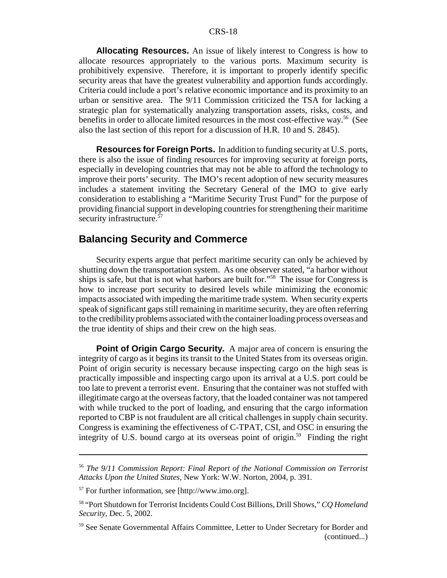#### CRS-18

**Allocating Resources.** An issue of likely interest to Congress is how to allocate resources appropriately to the various ports. Maximum security is prohibitively expensive. Therefore, it is important to properly identify specific security areas that have the greatest vulnerability and apportion funds accordingly. Criteria could include a port's relative economic importance and its proximity to an urban or sensitive area. The 9/11 Commission criticized the TSA for lacking a strategic plan for systematically analyzing transportation assets, risks, costs, and benefits in order to allocate limited resources in the most cost-effective way.<sup>56</sup> (See also the last section of this report for a discussion of H.R. 10 and S. 2845).

**Resources for Foreign Ports.** In addition to funding security at U.S. ports, there is also the issue of finding resources for improving security at foreign ports, especially in developing countries that may not be able to afford the technology to improve their ports' security. The IMO's recent adoption of new security measures includes a statement inviting the Secretary General of the IMO to give early consideration to establishing a "Maritime Security Trust Fund" for the purpose of providing financial support in developing countries for strengthening their maritime security infrastructure.<sup>57</sup>

#### **Balancing Security and Commerce**

Security experts argue that perfect maritime security can only be achieved by shutting down the transportation system. As one observer stated, "a harbor without ships is safe, but that is not what harbors are built for."58 The issue for Congress is how to increase port security to desired levels while minimizing the economic impacts associated with impeding the maritime trade system. When security experts speak of significant gaps still remaining in maritime security, they are often referring to the credibility problems associated with the container loading process overseas and the true identity of ships and their crew on the high seas.

**Point of Origin Cargo Security.** A major area of concern is ensuring the integrity of cargo as it begins its transit to the United States from its overseas origin. Point of origin security is necessary because inspecting cargo on the high seas is practically impossible and inspecting cargo upon its arrival at a U.S. port could be too late to prevent a terrorist event. Ensuring that the container was not stuffed with illegitimate cargo at the overseas factory, that the loaded container was not tampered with while trucked to the port of loading, and ensuring that the cargo information reported to CBP is not fraudulent are all critical challenges in supply chain security. Congress is examining the effectiveness of C-TPAT, CSI, and OSC in ensuring the integrity of U.S. bound cargo at its overseas point of origin.<sup>59</sup> Finding the right

<sup>56</sup> *The 9/11 Commission Report: Final Report of the National Commission on Terrorist Attacks Upon the United States,* New York: W.W. Norton, 2004*,* p. 391.

<sup>57</sup> For further information, see [http://www.imo.org].

<sup>58 &</sup>quot;Port Shutdown for Terrorist Incidents Could Cost Billions, Drill Shows," *CQ Homeland Security,* Dec. 5, 2002.

<sup>59</sup> See Senate Governmental Affairs Committee, Letter to Under Secretary for Border and (continued...)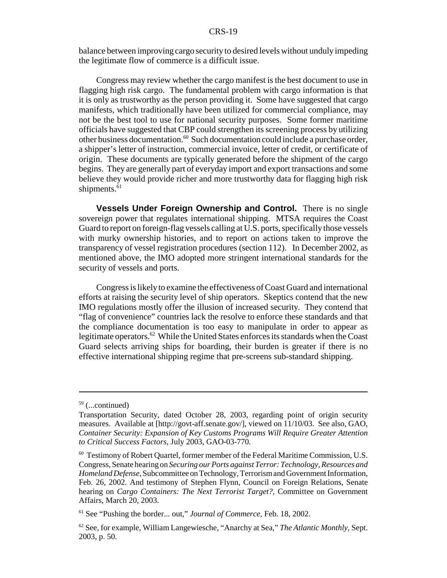balance between improving cargo security to desired levels without unduly impeding the legitimate flow of commerce is a difficult issue.

Congress may review whether the cargo manifest is the best document to use in flagging high risk cargo. The fundamental problem with cargo information is that it is only as trustworthy as the person providing it. Some have suggested that cargo manifests, which traditionally have been utilized for commercial compliance, may not be the best tool to use for national security purposes. Some former maritime officials have suggested that CBP could strengthen its screening process by utilizing other business documentation.60 Such documentation could include a purchase order, a shipper's letter of instruction, commercial invoice, letter of credit, or certificate of origin. These documents are typically generated before the shipment of the cargo begins. They are generally part of everyday import and export transactions and some believe they would provide richer and more trustworthy data for flagging high risk shipments.<sup>61</sup>

**Vessels Under Foreign Ownership and Control.** There is no single sovereign power that regulates international shipping. MTSA requires the Coast Guard to report on foreign-flag vessels calling at U.S. ports, specifically those vessels with murky ownership histories, and to report on actions taken to improve the transparency of vessel registration procedures (section 112). In December 2002, as mentioned above, the IMO adopted more stringent international standards for the security of vessels and ports.

Congress is likely to examine the effectiveness of Coast Guard and international efforts at raising the security level of ship operators. Skeptics contend that the new IMO regulations mostly offer the illusion of increased security. They contend that "flag of convenience" countries lack the resolve to enforce these standards and that the compliance documentation is too easy to manipulate in order to appear as legitimate operators.<sup>62</sup> While the United States enforces its standards when the Coast Guard selects arriving ships for boarding, their burden is greater if there is no effective international shipping regime that pre-screens sub-standard shipping.

 $59$  (...continued)

Transportation Security, dated October 28, 2003, regarding point of origin security measures. Available at [http://govt-aff.senate.gov/], viewed on 11/10/03. See also, GAO, *Container Security: Expansion of Key Customs Programs Will Require Greater Attention to Critical Success Factors,* July 2003, GAO-03-770.

 $60$  Testimony of Robert Quartel, former member of the Federal Maritime Commission, U.S. Congress, Senate hearing on *Securing our Ports against Terror: Technology, Resources and Homeland Defense,* Subcommittee on Technology, Terrorism and Government Information, Feb. 26, 2002. And testimony of Stephen Flynn, Council on Foreign Relations, Senate hearing on *Cargo Containers: The Next Terrorist Target?,* Committee on Government Affairs, March 20, 2003.

<sup>61</sup> See "Pushing the border... out," *Journal of Commerce,* Feb. 18, 2002.

<sup>62</sup> See, for example, William Langewiesche, "Anarchy at Sea," *The Atlantic Monthly,* Sept. 2003, p. 50.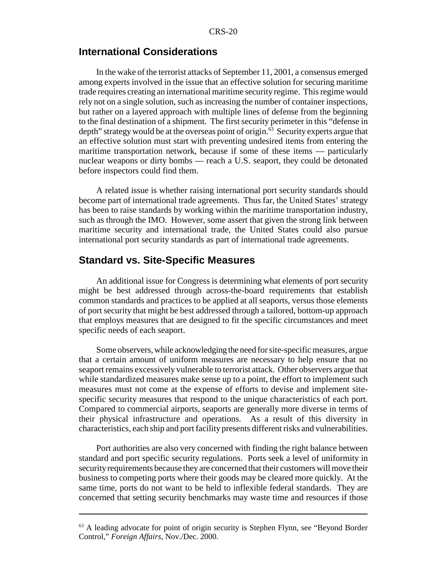#### **International Considerations**

In the wake of the terrorist attacks of September 11, 2001, a consensus emerged among experts involved in the issue that an effective solution for securing maritime trade requires creating an international maritime security regime. This regime would rely not on a single solution, such as increasing the number of container inspections, but rather on a layered approach with multiple lines of defense from the beginning to the final destination of a shipment. The first security perimeter in this "defense in depth" strategy would be at the overseas point of origin.<sup>63</sup> Security experts argue that an effective solution must start with preventing undesired items from entering the maritime transportation network, because if some of these items — particularly nuclear weapons or dirty bombs — reach a U.S. seaport, they could be detonated before inspectors could find them.

A related issue is whether raising international port security standards should become part of international trade agreements. Thus far, the United States' strategy has been to raise standards by working within the maritime transportation industry, such as through the IMO. However, some assert that given the strong link between maritime security and international trade, the United States could also pursue international port security standards as part of international trade agreements.

#### **Standard vs. Site-Specific Measures**

An additional issue for Congress is determining what elements of port security might be best addressed through across-the-board requirements that establish common standards and practices to be applied at all seaports, versus those elements of port security that might be best addressed through a tailored, bottom-up approach that employs measures that are designed to fit the specific circumstances and meet specific needs of each seaport.

Some observers, while acknowledging the need for site-specific measures, argue that a certain amount of uniform measures are necessary to help ensure that no seaport remains excessively vulnerable to terrorist attack. Other observers argue that while standardized measures make sense up to a point, the effort to implement such measures must not come at the expense of efforts to devise and implement sitespecific security measures that respond to the unique characteristics of each port. Compared to commercial airports, seaports are generally more diverse in terms of their physical infrastructure and operations. As a result of this diversity in characteristics, each ship and port facility presents different risks and vulnerabilities.

Port authorities are also very concerned with finding the right balance between standard and port specific security regulations. Ports seek a level of uniformity in security requirements because they are concerned that their customers will move their business to competing ports where their goods may be cleared more quickly. At the same time, ports do not want to be held to inflexible federal standards. They are concerned that setting security benchmarks may waste time and resources if those

<sup>&</sup>lt;sup>63</sup> A leading advocate for point of origin security is Stephen Flynn, see "Beyond Border" Control," *Foreign Affairs,* Nov./Dec. 2000.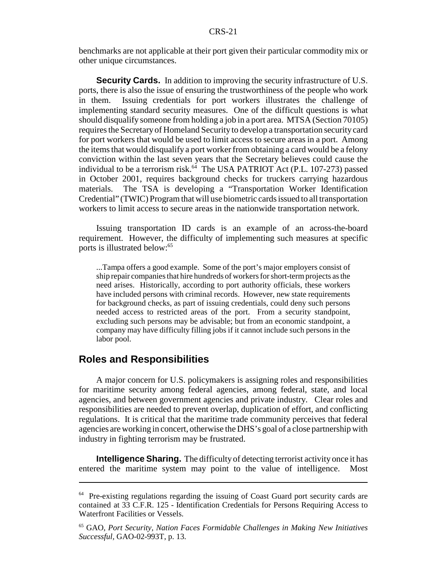benchmarks are not applicable at their port given their particular commodity mix or other unique circumstances.

**Security Cards.** In addition to improving the security infrastructure of U.S. ports, there is also the issue of ensuring the trustworthiness of the people who work in them. Issuing credentials for port workers illustrates the challenge of implementing standard security measures. One of the difficult questions is what should disqualify someone from holding a job in a port area. MTSA (Section 70105) requires the Secretary of Homeland Security to develop a transportation security card for port workers that would be used to limit access to secure areas in a port. Among the items that would disqualify a port worker from obtaining a card would be a felony conviction within the last seven years that the Secretary believes could cause the individual to be a terrorism risk. $64$  The USA PATRIOT Act (P.L. 107-273) passed in October 2001, requires background checks for truckers carrying hazardous materials. The TSA is developing a "Transportation Worker Identification Credential" (TWIC) Program that will use biometric cards issued to all transportation workers to limit access to secure areas in the nationwide transportation network.

Issuing transportation ID cards is an example of an across-the-board requirement. However, the difficulty of implementing such measures at specific ports is illustrated below:<sup>65</sup>

...Tampa offers a good example. Some of the port's major employers consist of ship repair companies that hire hundreds of workers for short-term projects as the need arises. Historically, according to port authority officials, these workers have included persons with criminal records. However, new state requirements for background checks, as part of issuing credentials, could deny such persons needed access to restricted areas of the port. From a security standpoint, excluding such persons may be advisable; but from an economic standpoint, a company may have difficulty filling jobs if it cannot include such persons in the labor pool.

#### **Roles and Responsibilities**

A major concern for U.S. policymakers is assigning roles and responsibilities for maritime security among federal agencies, among federal, state, and local agencies, and between government agencies and private industry. Clear roles and responsibilities are needed to prevent overlap, duplication of effort, and conflicting regulations. It is critical that the maritime trade community perceives that federal agencies are working in concert, otherwise the DHS's goal of a close partnership with industry in fighting terrorism may be frustrated.

**Intelligence Sharing.** The difficulty of detecting terrorist activity once it has entered the maritime system may point to the value of intelligence. Most

<sup>&</sup>lt;sup>64</sup> Pre-existing regulations regarding the issuing of Coast Guard port security cards are contained at 33 C.F.R. 125 - Identification Credentials for Persons Requiring Access to Waterfront Facilities or Vessels.

<sup>65</sup> GAO, *Port Security, Nation Faces Formidable Challenges in Making New Initiatives Successful,* GAO-02-993T, p. 13.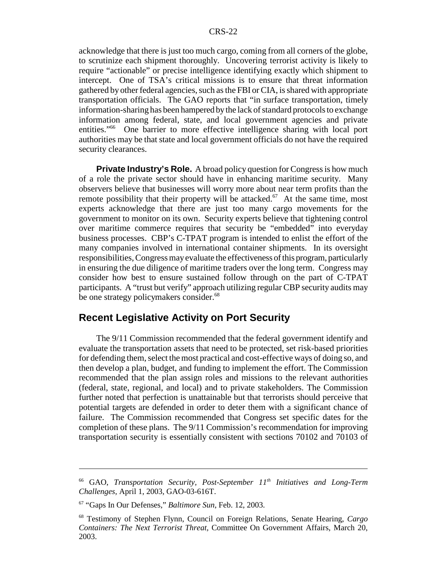acknowledge that there is just too much cargo, coming from all corners of the globe, to scrutinize each shipment thoroughly. Uncovering terrorist activity is likely to require "actionable" or precise intelligence identifying exactly which shipment to intercept. One of TSA's critical missions is to ensure that threat information gathered by other federal agencies, such as the FBI or CIA, is shared with appropriate transportation officials. The GAO reports that "in surface transportation, timely information-sharing has been hampered by the lack of standard protocols to exchange information among federal, state, and local government agencies and private entities."66 One barrier to more effective intelligence sharing with local port authorities may be that state and local government officials do not have the required security clearances.

**Private Industry's Role.** A broad policy question for Congress is how much of a role the private sector should have in enhancing maritime security. Many observers believe that businesses will worry more about near term profits than the remote possibility that their property will be attacked.<sup>67</sup> At the same time, most experts acknowledge that there are just too many cargo movements for the government to monitor on its own. Security experts believe that tightening control over maritime commerce requires that security be "embedded" into everyday business processes. CBP's C-TPAT program is intended to enlist the effort of the many companies involved in international container shipments. In its oversight responsibilities, Congress may evaluate the effectiveness of this program, particularly in ensuring the due diligence of maritime traders over the long term. Congress may consider how best to ensure sustained follow through on the part of C-TPAT participants. A "trust but verify" approach utilizing regular CBP security audits may be one strategy policymakers consider.<sup>68</sup>

#### **Recent Legislative Activity on Port Security**

The 9/11 Commission recommended that the federal government identify and evaluate the transportation assets that need to be protected, set risk-based priorities for defending them, select the most practical and cost-effective ways of doing so, and then develop a plan, budget, and funding to implement the effort. The Commission recommended that the plan assign roles and missions to the relevant authorities (federal, state, regional, and local) and to private stakeholders. The Commission further noted that perfection is unattainable but that terrorists should perceive that potential targets are defended in order to deter them with a significant chance of failure. The Commission recommended that Congress set specific dates for the completion of these plans.The 9/11 Commission's recommendation for improving transportation security is essentially consistent with sections 70102 and 70103 of

<sup>66</sup> GAO, *Transportation Security, Post-September 11th Initiatives and Long-Term Challenges,* April 1, 2003, GAO-03-616T.

<sup>67 &</sup>quot;Gaps In Our Defenses," *Baltimore Sun*, Feb. 12, 2003.

<sup>68</sup> Testimony of Stephen Flynn, Council on Foreign Relations, Senate Hearing, *Cargo Containers: The Next Terrorist Threat,* Committee On Government Affairs, March 20, 2003.